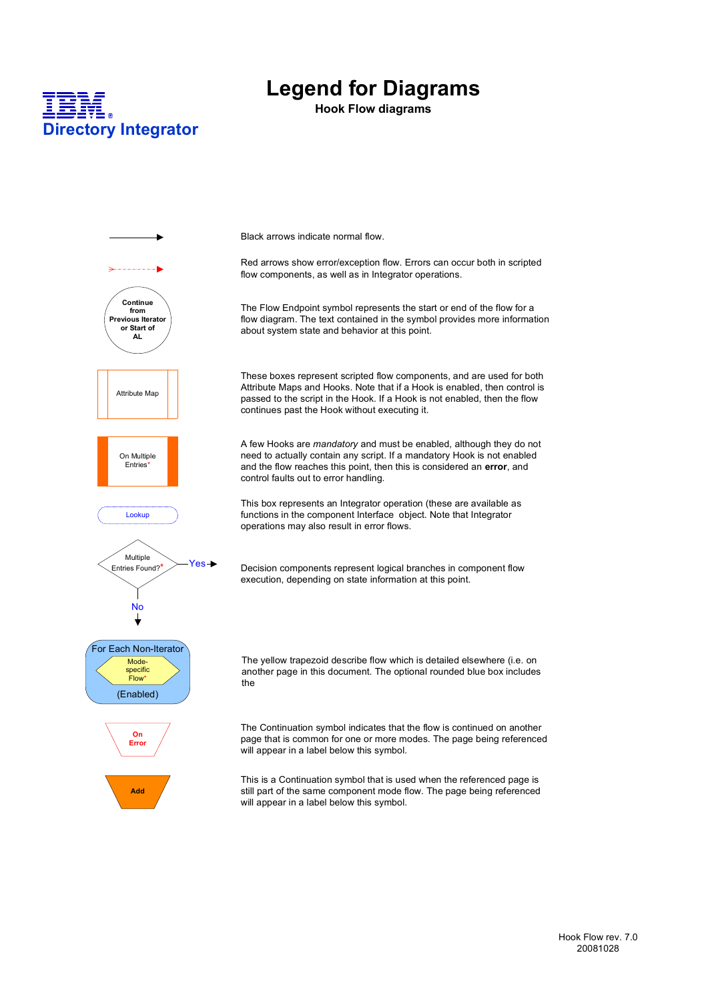

### **Legend for Diagrams**

**Hook Flow diagrams**

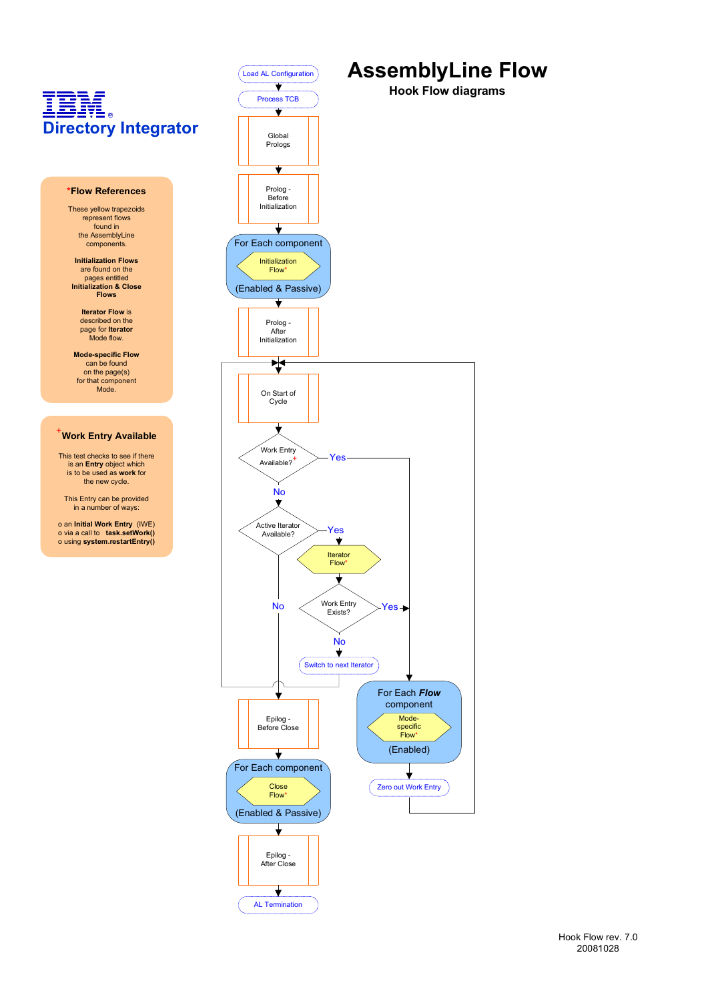

AL Termination

### **AssemblyLine Flow**

**Hook Flow diagrams**

Modespecific Flow\*

⇃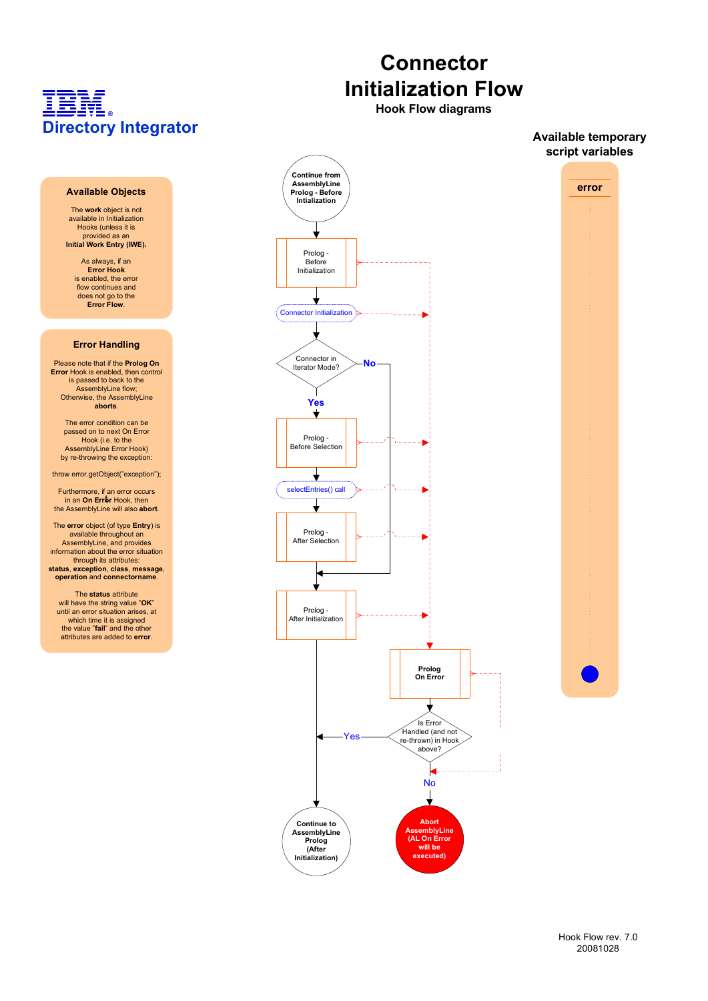#### **Available Objects**

The **work** object is not available in Initialization Hooks (unless it is provided as an **Initial Work Entry (IWE).**

> As always, if an **Error Hook** is enabled, the error flow continues and does not go to the **Error Flow**.

#### **Error Handling**

Please note that if the **Prolog On Error** Hook is enabled, then control is passed to back to the AssemblyLine flow; Otherwise, the AssemblyLine **aborts**.

The error condition can be passed on to next On Error Hook (i.e. to the AssemblyLine Error Hook) by re-throwing the exception:

throw error.getObject("exception");

Furthermore, if an error occurs in an **On Error** Hook, then the AssemblyLine will also **abort**.

The **error** object (of type **Entry**) is available throughout an AssemblyLine, and provides information about the error situation through its attributes: **status**, **exception**, **class**, **message**, **operation** and **connectorname**.

The **status** attribute will have the string value "**OK**" until an error situation arises, at which time it is assigned the value "**fail**" and the other attributes are added to **error**.



**Hook Flow diagrams**

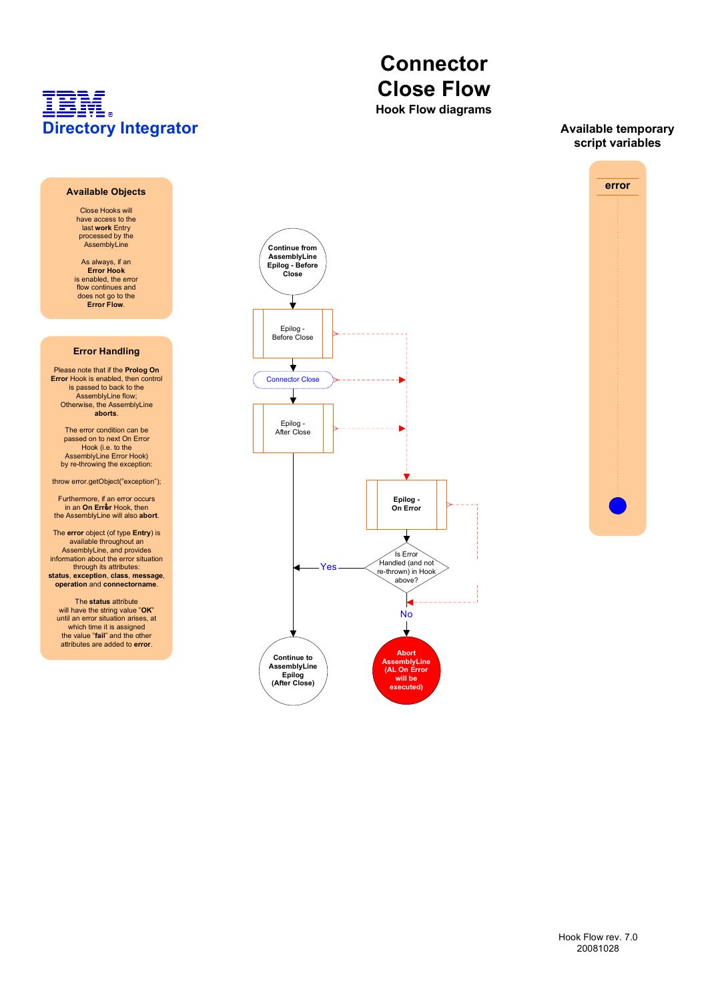# **Connector Close Flow**

**Hook Flow diagrams**

#### **Available temporary script variables**

#### **Available Objects**

Close Hooks will have access to the last **work** Entry processed by the AssemblyLine

As always, if an **Error Hook** is enabled, the error flow continues and does not go to the **Error Flow**.

#### **Error Handling**

Please note that if the **Prolog On Error** Hook is enabled, then control is passed to back to the AssemblyLine flow; Otherwise, the AssemblyLine **aborts**.

The error condition can be passed on to next On Error Hook (i.e. to the AssemblyLine Error Hook) by re-throwing the exception:

throw error.getObject("exception");

Furthermore, if an error occurs in an **On Error** Hook, then the AssemblyLine will also **abort**.

The **error** object (of type **Entry**) is available throughout an AssemblyLine, and provides information about the error situation through its attributes:

**status**, **exception**, **class**, **message**, **operation** and **connectorname**.

The **status** attribute will have the string value "**OK**" until an error situation arises, at which time it is assigned the value "**fail**" and the other attributes are added to **error**.



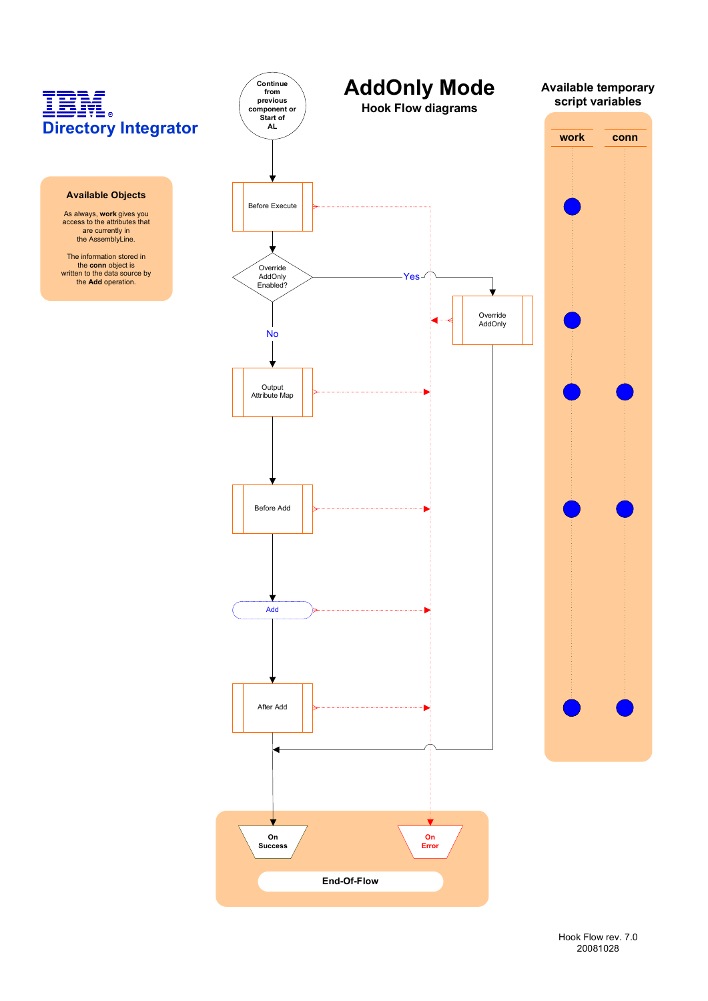#### **Available Objects**

As always, **work** gives you access to the attributes that are currently in the AssemblyLine.

The information stored in the **conn** object is written to the data source by the **Add** operation.

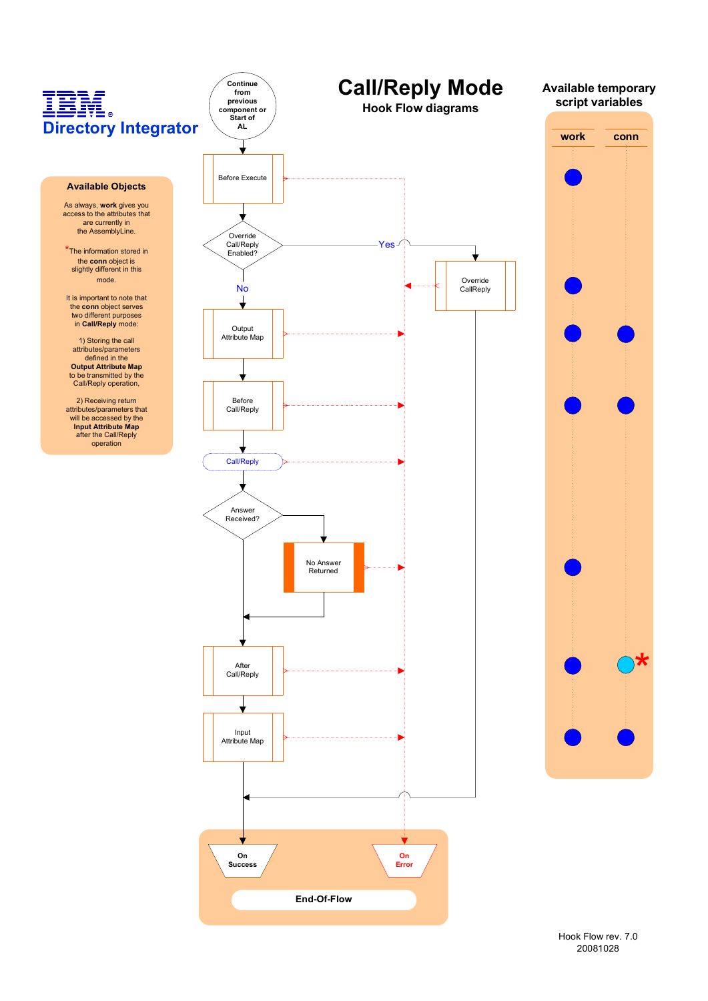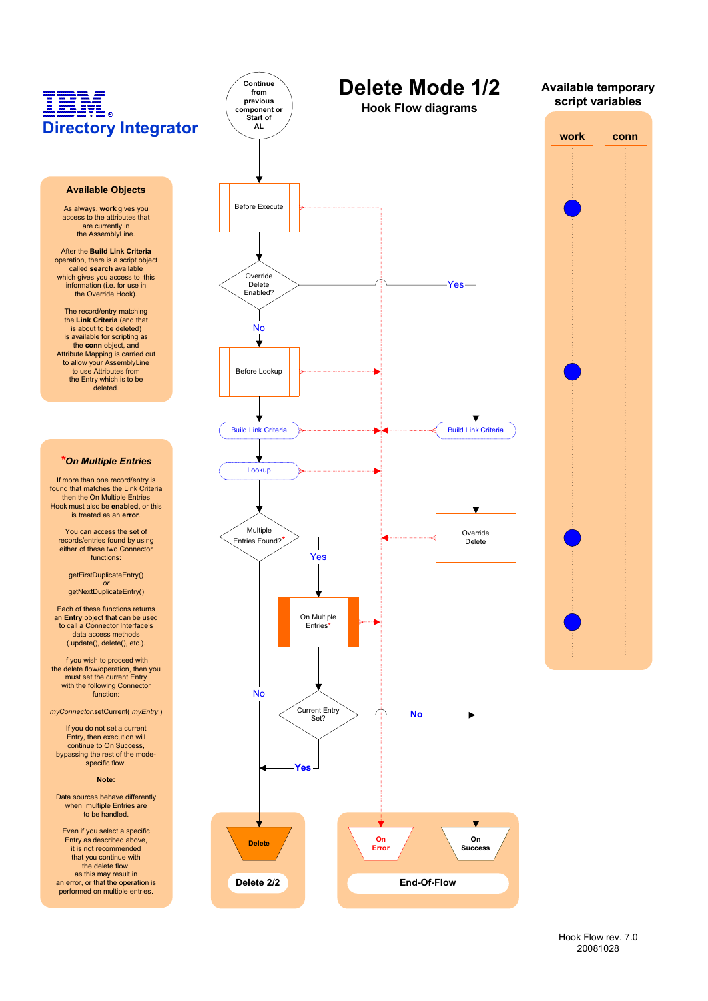#### **Available Objects**

As always, **work** gives you access to the attributes that are currently in the AssemblyLine.

After the **Build Link Criteria** operation, there is a script object called **search** available which gives you access to this information (i.e. for use in the Override Hook).

The record/entry matching the **Link Criteria** (and that is about to be deleted) is available for scripting as the **conn** object, and Attribute Mapping is carried out to allow your AssemblyLine to use Attributes from the Entry which is to be deleted.

#### *\*On Multiple Entries*

If more than one record/entry is found that matches the Link Criteria then the On Multiple Entries Hook must also be **enabled**, or this is treated as an **error**.

You can access the set of records/entries found by using either of these two Connector functions:

getFirstDuplicateEntry() *or*

getNextDuplicateEntry()

Each of these functions returns an **Entry** object that can be used to call a Connector Interface's data access methods (.update(), delete(), etc.).

If you wish to proceed with the delete flow/operation, then you must set the current Entry with the following Connector function:

*myConnector*.setCurrent( *myEntry* )

If you do not set a current Entry, then execution will continue to On Success, bypassing the rest of the modespecific flow.

#### **Note:**

Data sources behave differently when multiple Entries are to be handled.

Even if you select a specific Entry as described above, it is not recommended that you continue with the delete flow, as this may result in an error, or that the operation is performed on multiple entries.



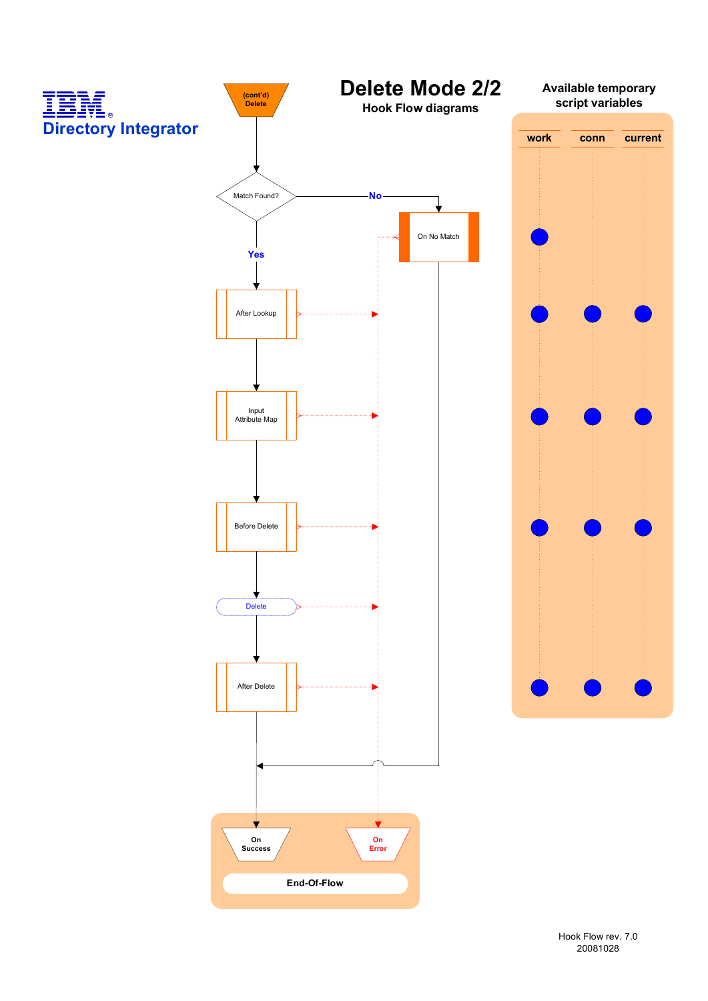

Hook Flow rev. 7.0 20081028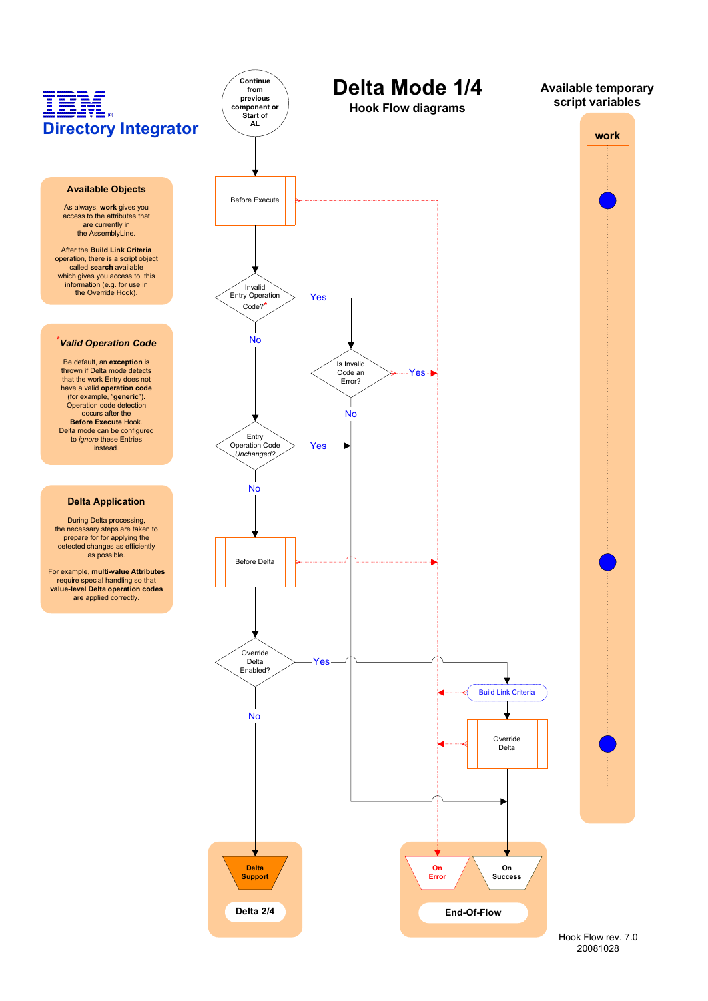#### **Available Objects**

As always, **work** gives you access to the attributes that are currently in the AssemblyLine.

After the **Build Link Criteria** operation, there is a script object called **search** available which gives you access to this information (e.g. for use in the Override Hook).

#### **\****Valid Operation Code*

Be default, an **exception** is thrown if Delta mode detects that the work Entry does not have a valid **operation code** (for example, "**generic**"). Operation code detection occurs after the **Before Execute** Hook. Delta mode can be configured to *ignore* these Entries instead.

#### **Delta Application**

During Delta processing, the necessary steps are taken to prepare for for applying the detected changes as efficiently as possible.

For example, **multi-value Attributes** require special handling so that **value-level Delta operation codes** are applied correctly.

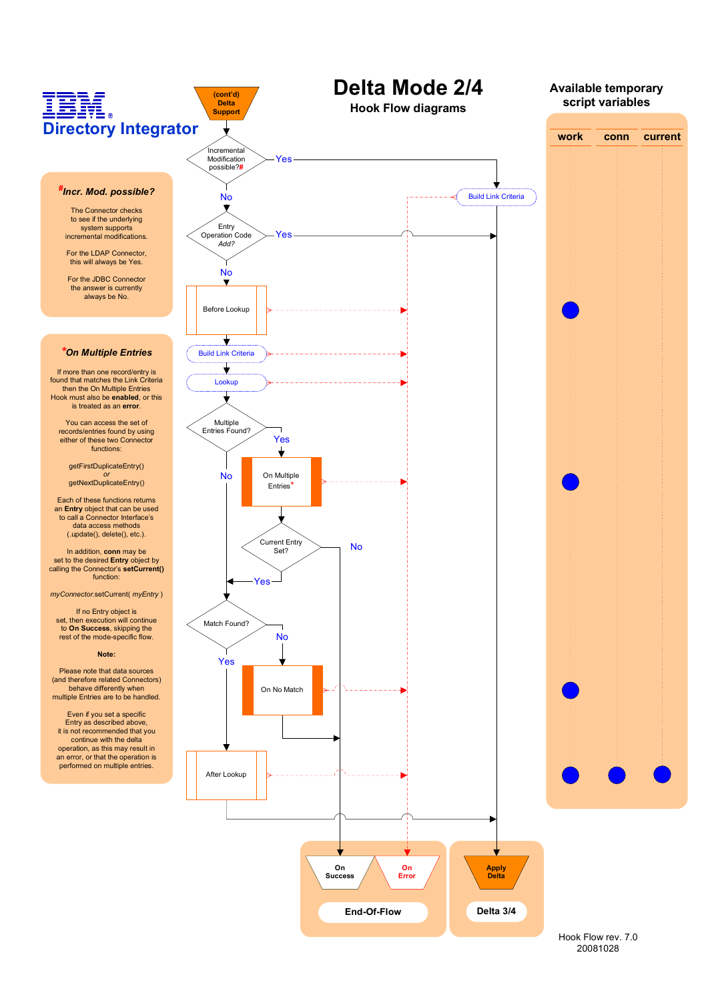

Hook Flow rev. 7.0 20081028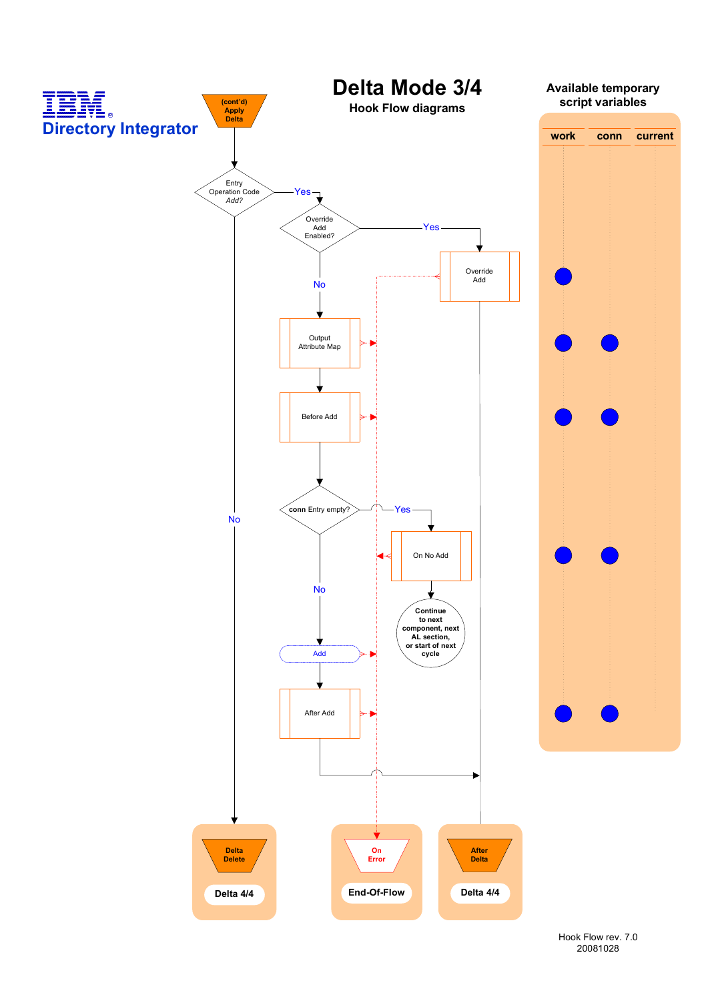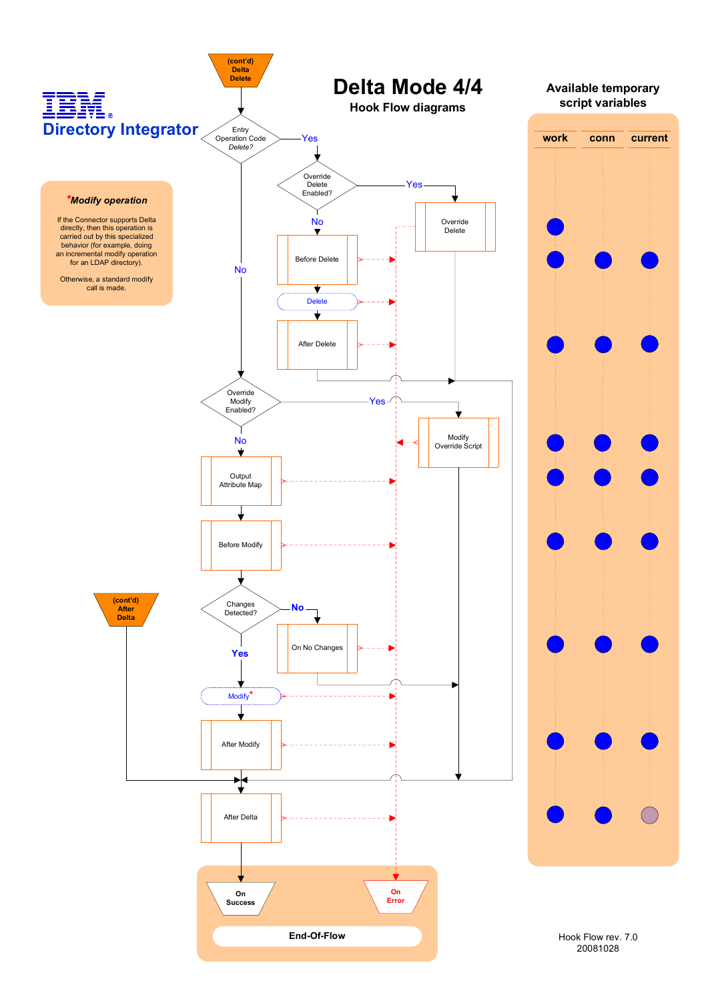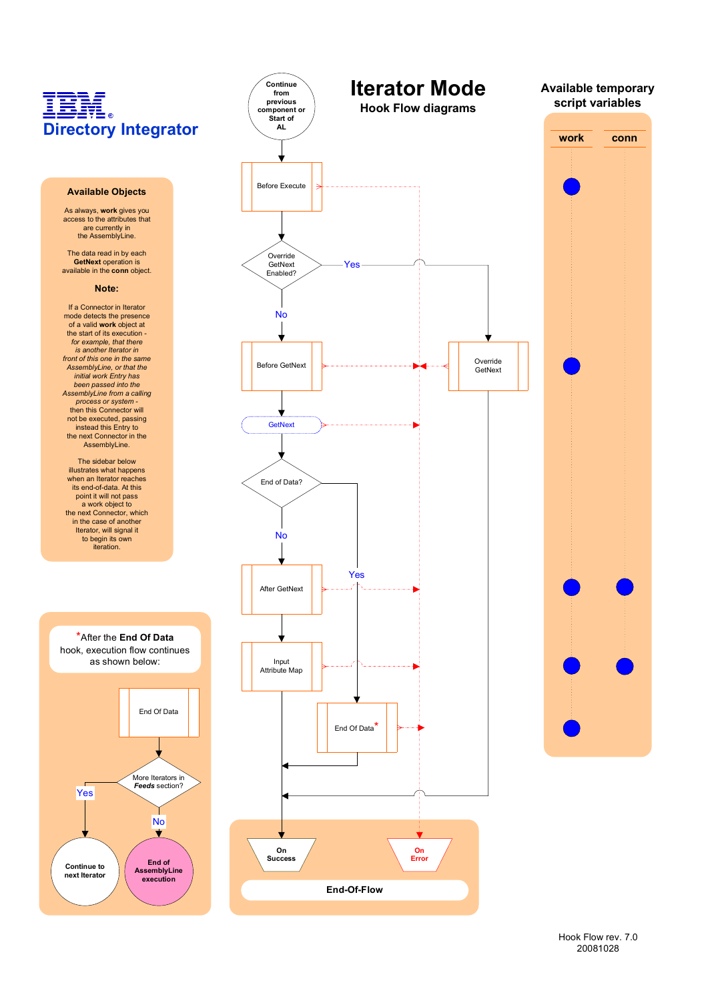### IBM  $\overline{R}$ **Directory Integrator**

#### **Available Objects**

As always, **work** gives you access to the attributes that are currently in the AssemblyLine.

The data read in by each **GetNext** operation is available in the **conn** object.

#### **Note:**

If a Connector in Iterator mode detects the presence of a valid **work** object at the start of its execution *for example, that there is another Iterator in front of this one in the same AssemblyLine, or that the initial work Entry has been passed into the AssemblyLine from a calling process or system -* then this Connector will not be executed, passing instead this Entry to the next Connector in the AssemblyLine.

The sidebar below illustrates what happens when an Iterator reaches its end-of-data. At this point it will not pass a work object to the next Connector, which in the case of another Iterator, will signal it to begin its own iteration.







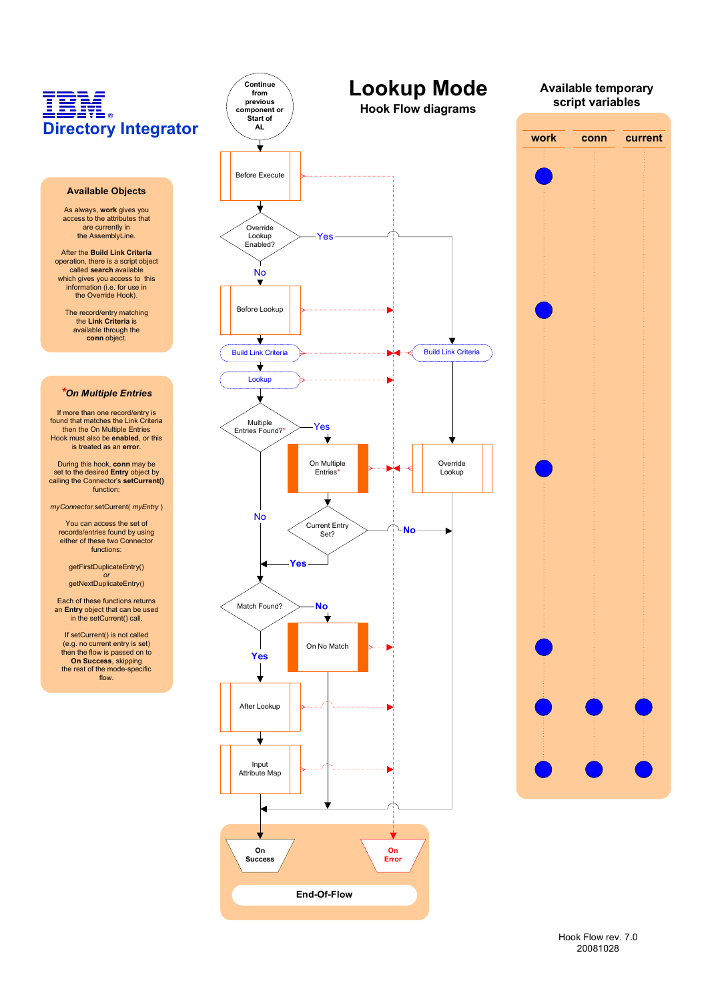#### **Available Objects**

As always, **work** gives you access to the attributes that are currently in the AssemblyLine.

After the **Build Link Criteria** operation, there is a script object called **search** available<br>which gives you access to this<br>information (i.e. for use in the Override Hook).

> The record/entry matching the **Link Criteria** is available through the **conn** object.

#### *\*On Multiple Entries*

If more than one record/entry is found that matches the Link Criteria then the On Multiple Entries Hook must also be **enabled**, or this is treated as an **error**.

During this hook, **conn** may be set to the desired **Entry** object by calling the Connector's **setCurrent()** function:

*myConnector*.setCurrent( *myEntry* )

You can access the set of records/entries found by using either of these two Connector functions:

getFirstDuplicateEntry() *or*

getNextDuplicateEntry()

Each of these functions returns an **Entry** object that can be used in the setCurrent() call.

If setCurrent() is not called (e.g. no current entry is set) then the flow is passed on to **On Success**, skipping the rest of the mode-specific flow.

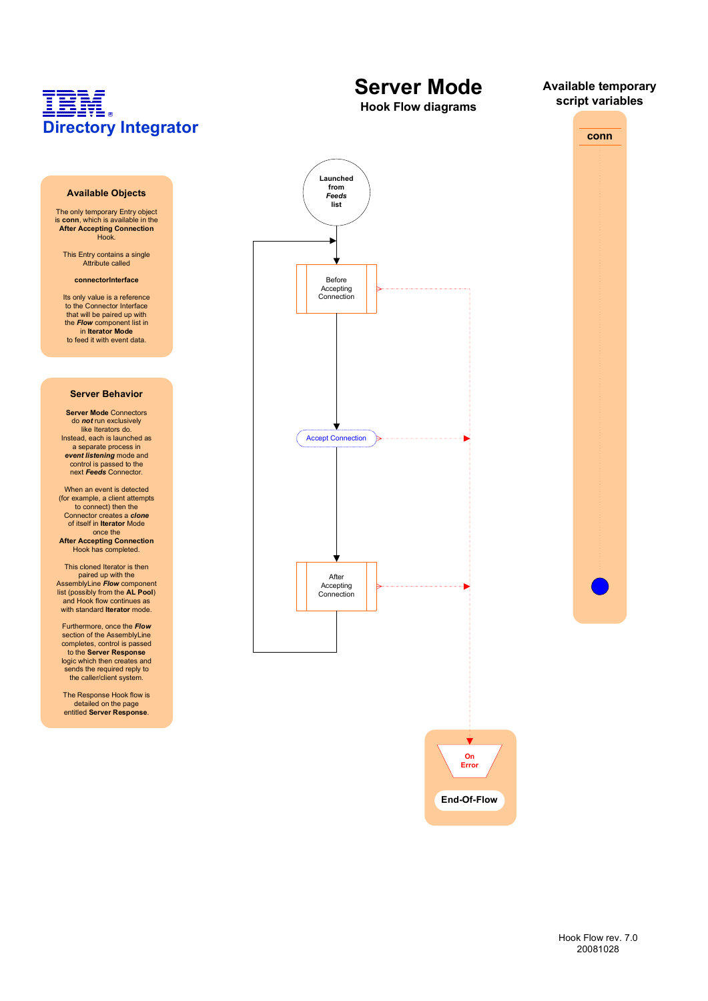#### **Available Objects**

The only temporary Entry object is **conn**, which is available in the **After Accepting Connection** Hook.

This Entry contains a single Attribute called

#### **connectorInterface**

Its only value is a reference to the Connector Interface that will be paired up with the *Flow* component list in in **Iterator Mode** to feed it with event data.

#### **Server Behavior**

**Server Mode** Connectors do *not* run exclusively like Iterators do. Instead, each is launched as a separate process in event listening mode and<br>control is passed to the next *Feeds* Connector.

When an event is detected (for example, a client attempts to connect) then the Connector creates a *clone* of itself in **Iterator** Mode once the

**After Accepting Connection** Hook has completed.

This cloned Iterator is then paired up with the AssemblyLine *Flow* component list (possibly from the **AL Pool**) and Hook flow continues as with standard **Iterator** mode.

Furthermore, once the *Flow* section of the AssemblyLine completes, control is passed to the **Server Response** logic which then creates and sends the required reply to the caller/client system.

The Response Hook flow is detailed on the page entitled **Server Response**.



**Server Mode**

**Available temporary script variables**

**conn**



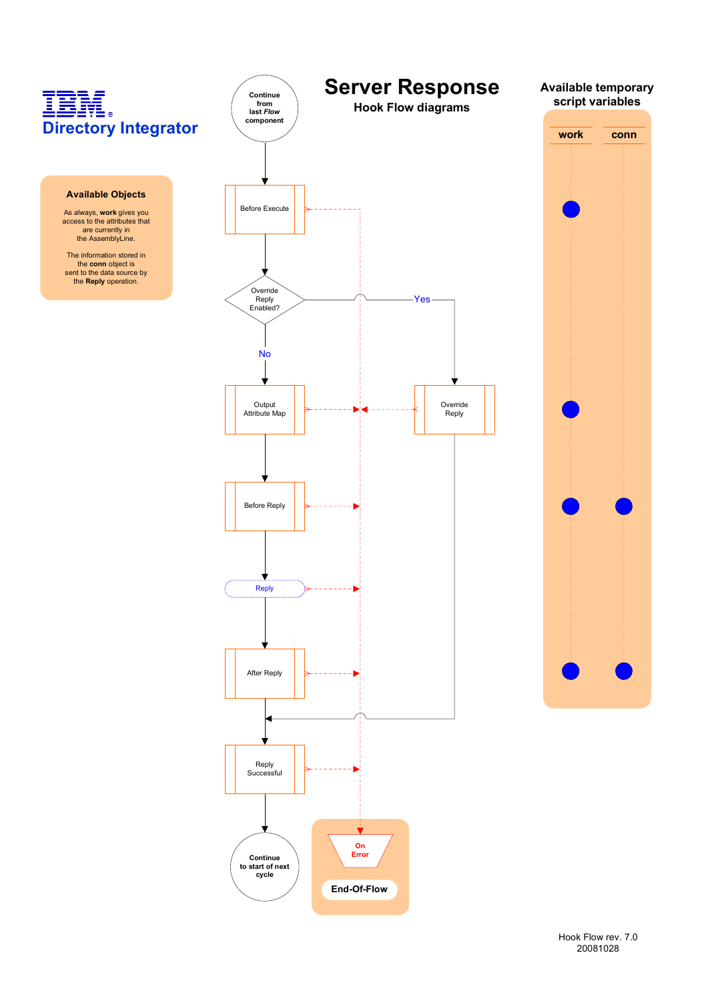

Hook Flow rev. 7.0 20081028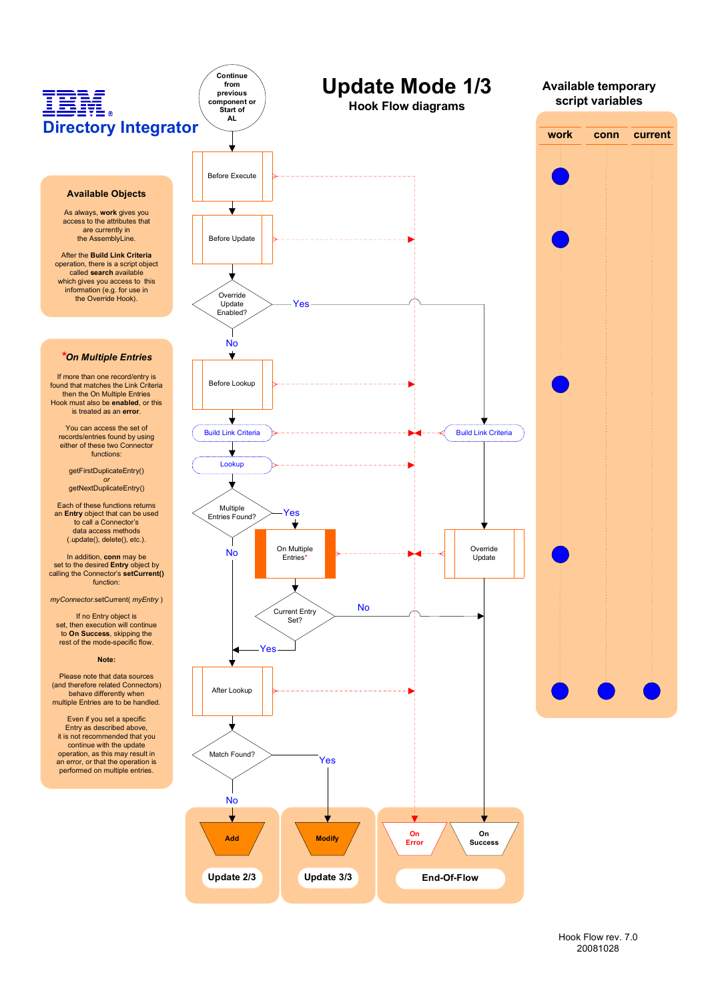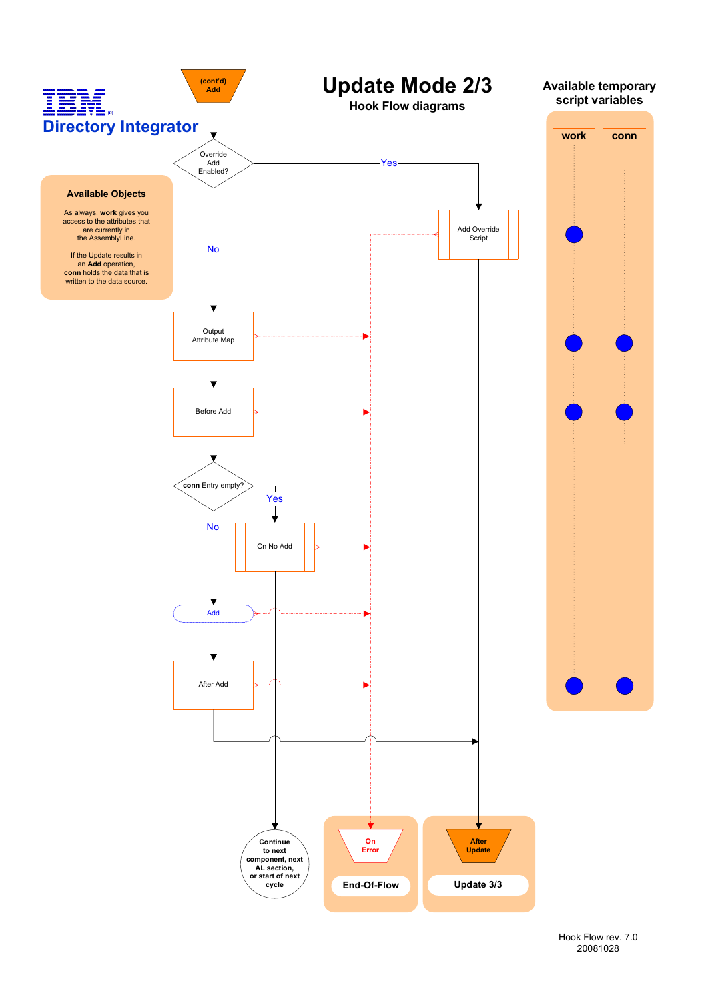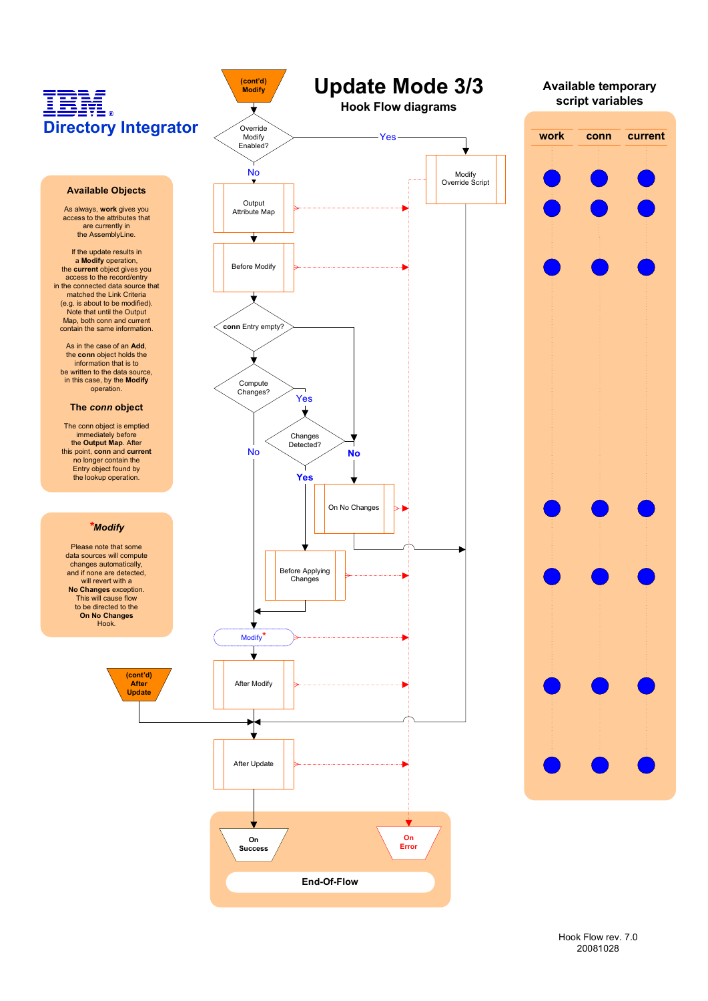## **IBI**<br>Directory Integrator Ī

Override Modify Enabled?

╈

**(cont'd) Modify**

Output Attribute Map

Before Modify

┪

Compute Changes?

**conn** Entry empty?

Changes Detected? No No

Yes

 $\overline{\mathbf{v}}$ 

**Yes**

#### **Available Objects**

As always, **work** gives you access to the attributes that are currently in the AssemblyLine.

If the update results in a **Modify** operation, the **current** object gives you access to the record/entry in the connected data source that matched the Link Criteria (e.g. is about to be modified). Note that until the Output Map, both conn and current contain the same information.

As in the case of an **Add**, the **conn** object holds the information that is to be written to the data source in this case, by the **Modify** operation.

#### **The** *conn* **object**

The conn object is emptied immediately before the **Output Map**. After this point, **conn** and **current** no longer contain the Entry object found by the lookup operation.

#### *\*Modify*

Please note that some data sources will compute changes automatically, and if none are detected, will revert with a **No Changes** exception. This will cause flow to be directed to the **On No Changes** Hook.



**Update Mode 3/3 Hook Flow diagrams**

Override Script

Yes

No and the set of the set of the Modify

**work conn current Available temporary script variables**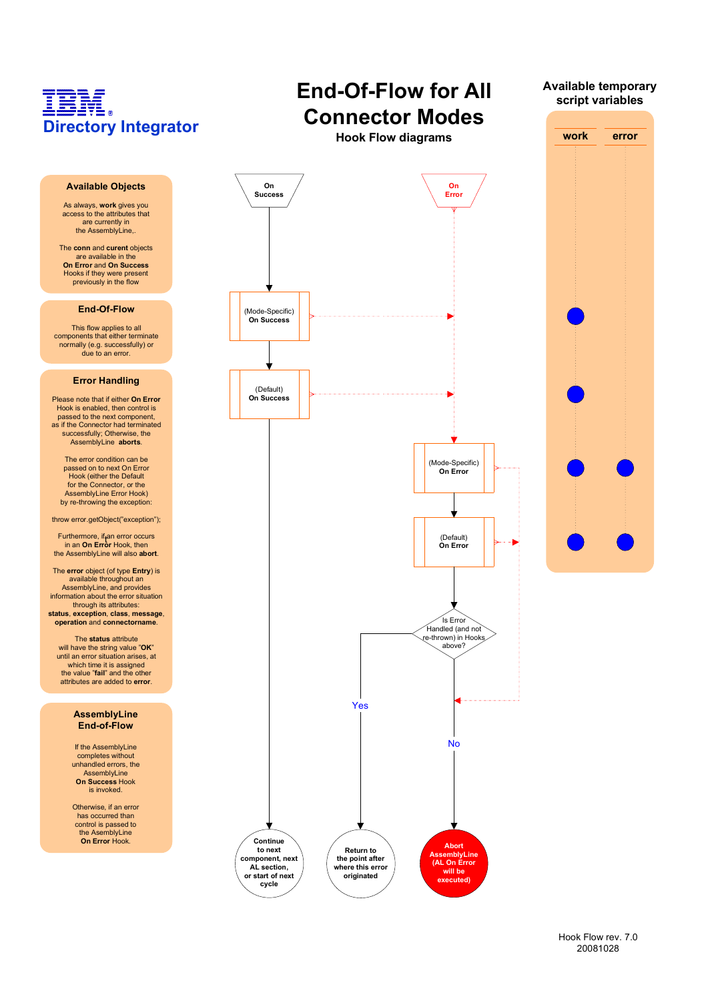

**AL section, or start of next cycle**

**where this error originated**

> Hook Flow rev. 7.0 20081028

**(AL On Error will be executed)**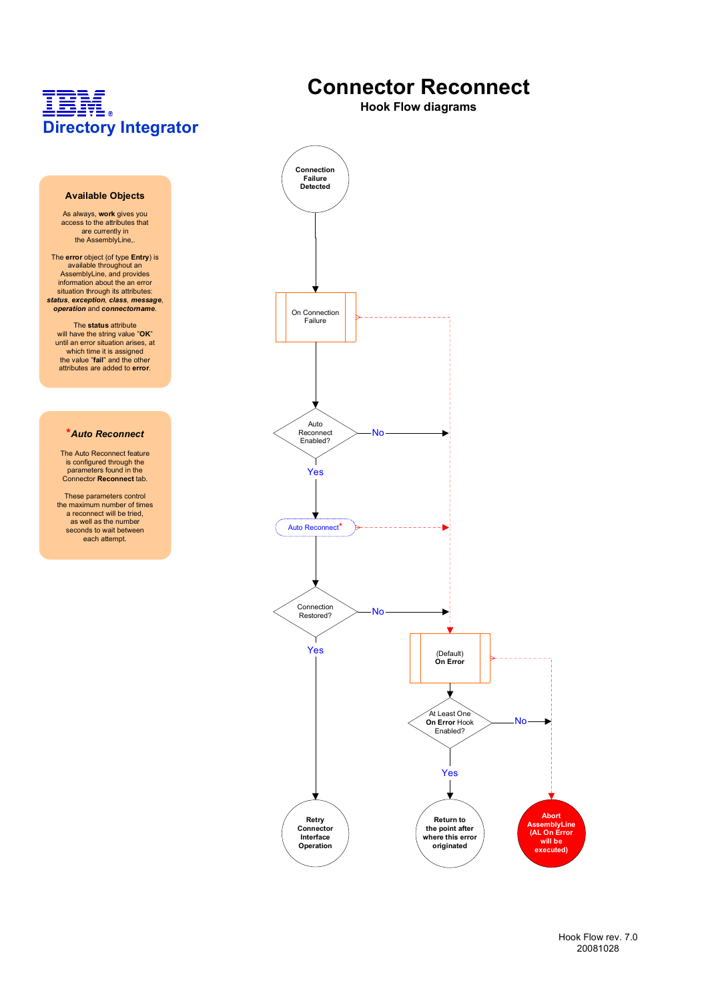#### **Available Objects**

As always, **work** gives you access to the attributes that are currently in the AssemblyLine,

The **error** object (of type **Entry**) is available throughout an AssemblyLine, and provides information about the an error situation through its attributes: *status, exception, class, message, operation* and *connectorname*.

The **status** attribute<br>will have the string value "OK"<br>until an error situation arises, at<br>which time it is assigned the value "**fail**" and the other attributes are added to **error**.

#### **\****Auto Reconnect*

The Auto Reconnect feature is configured through the parameters found in the Connector **Reconnect** tab.

These parameters control the maximum number of times a reconnect will be tried, as well as the number seconds to wait between each attempt.

### **Connector Reconnect**

**Hook Flow diagrams**